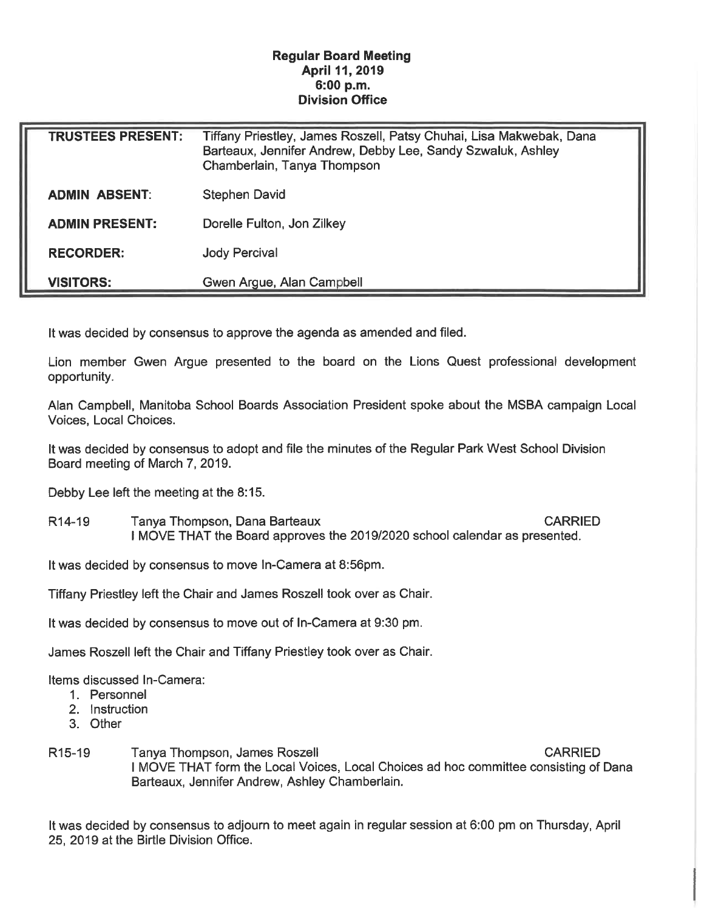## Regular Board Meeting April 11, 2019 6:00 p.m. Division Office

| <b>TRUSTEES PRESENT:</b> | Tiffany Priestley, James Roszell, Patsy Chuhai, Lisa Makwebak, Dana<br>Barteaux, Jennifer Andrew, Debby Lee, Sandy Szwaluk, Ashley<br>Chamberlain, Tanya Thompson |
|--------------------------|-------------------------------------------------------------------------------------------------------------------------------------------------------------------|
| <b>ADMIN ABSENT:</b>     | <b>Stephen David</b>                                                                                                                                              |
| <b>ADMIN PRESENT:</b>    | Dorelle Fulton, Jon Zilkey                                                                                                                                        |
| <b>RECORDER:</b>         | <b>Jody Percival</b>                                                                                                                                              |
| <b>VISITORS:</b>         | Gwen Argue, Alan Campbell                                                                                                                                         |

It was decided by consensus to approve the agenda as amended and filed.

Lion member Gwen Argue presented to the board on the Lions Quest professional development opportunity.

Alan Campbell, Manitoba School Boards Association President spoke about the MSBA campaign Local Voices, Local Choices.

It was decided by consensus to adopt and file the minutes of the Regular Park West School Division Board meeting of March 7, 2019.

Debby Lee left the meeting at the 8:15.

R14-19 Tanya Thompson, Dana Barteaux CARRIED I MOVE THAT the Board approves the 2019/2020 school calendar as presented.

It was decided by consensus to move In-Camera at 8:56pm.

Tiffany Priestley left the Chair and James Roszell took over as Chair.

It was decided by consensus to move out of In-Camera at 9:30 pm.

James Roszell left the Chair and Tiffany Priestley took over as Chair.

Items discussed In-Camera:

- 1. Personnel
- 2. Instruction
- 3. Other
- R15-19 Tanya Thompson, James Roszell CARRIED I MOVE THAT form the Local Voices, Local Choices ad hoc committee consisting of Dana Barteaux, Jennifer Andrew, Ashley Chamberlain.

It was decided by consensus to adjourn to meet again in regular session at 6:00 pm on Thursday, April 25, 2019 at the Birtle Division Office.